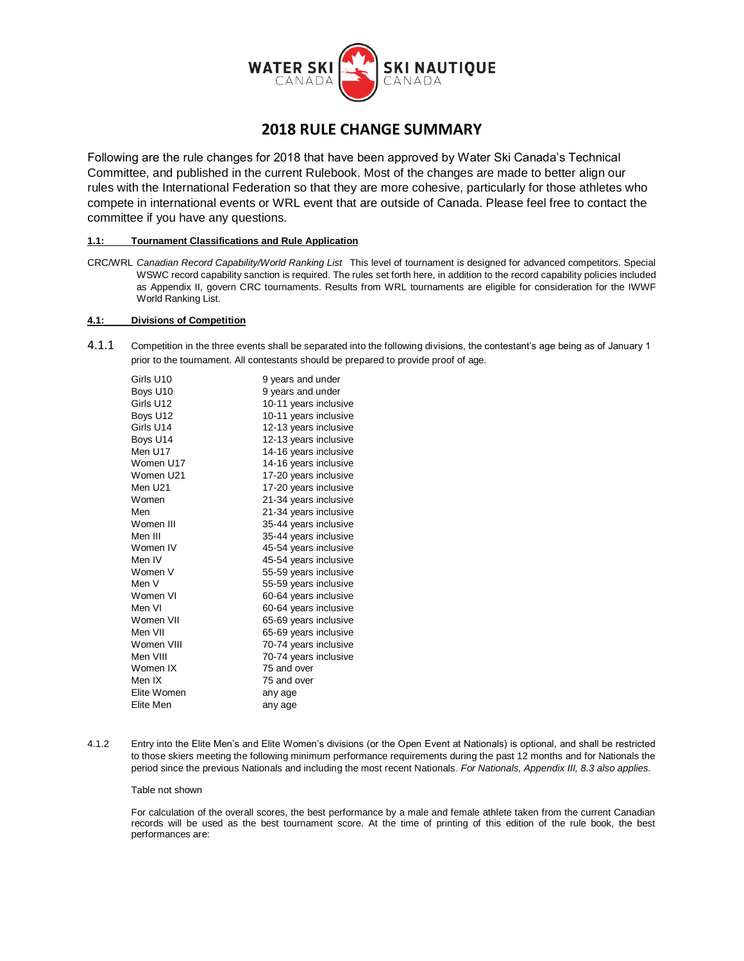

# **2018 RULE CHANGE SUMMARY**

Following are the rule changes for 2018 that have been approved by Water Ski Canada's Technical Committee, and published in the current Rulebook. Most of the changes are made to better align our rules with the International Federation so that they are more cohesive, particularly for those athletes who compete in international events or WRL event that are outside of Canada. Please feel free to contact the committee if you have any questions.

# **1.1: Tournament Classifications and Rule Application**

CRC/WRL *Canadian Record Capability/World Ranking List* This level of tournament is designed for advanced competitors. Special WSWC record capability sanction is required. The rules set forth here, in addition to the record capability policies included as Appendix II, govern CRC tournaments. Results from WRL tournaments are eligible for consideration for the IWWF World Ranking List.

# **4.1: Divisions of Competition**

4.1.1 Competition in the three events shall be separated into the following divisions, the contestant's age being as of January 1 prior to the tournament. All contestants should be prepared to provide proof of age.

| Girls U10   | 9 years and under     |
|-------------|-----------------------|
| Boys U10    | 9 years and under     |
| Girls U12   | 10-11 years inclusive |
| Boys U12    | 10-11 years inclusive |
| Girls U14   | 12-13 years inclusive |
| Boys U14    | 12-13 years inclusive |
| Men U17     | 14-16 years inclusive |
| Women U17   | 14-16 years inclusive |
| Women U21   | 17-20 years inclusive |
| Men U21     | 17-20 years inclusive |
| Women       | 21-34 years inclusive |
| Men         | 21-34 years inclusive |
| Women III   | 35-44 years inclusive |
| Men III     | 35-44 years inclusive |
| Women IV    | 45-54 years inclusive |
| Men IV      | 45-54 years inclusive |
| Women V     | 55-59 years inclusive |
| Men V       | 55-59 years inclusive |
| Women VI    | 60-64 years inclusive |
| Men VI      | 60-64 years inclusive |
| Women VII   | 65-69 years inclusive |
| Men VII     | 65-69 years inclusive |
| Women VIII  | 70-74 years inclusive |
| Men VIII    | 70-74 years inclusive |
| Women IX    | 75 and over           |
| Men IX      | 75 and over           |
| Elite Women | any age               |
| Elite Men   | any age               |
|             |                       |

4.1.2 Entry into the Elite Men's and Elite Women's divisions (or the Open Event at Nationals) is optional, and shall be restricted to those skiers meeting the following minimum performance requirements during the past 12 months and for Nationals the period since the previous Nationals and including the most recent Nationals. *For Nationals, Appendix III, 8.3 also applies.*

## Table not shown

For calculation of the overall scores, the best performance by a male and female athlete taken from the current Canadian records will be used as the best tournament score. At the time of printing of this edition of the rule book, the best performances are: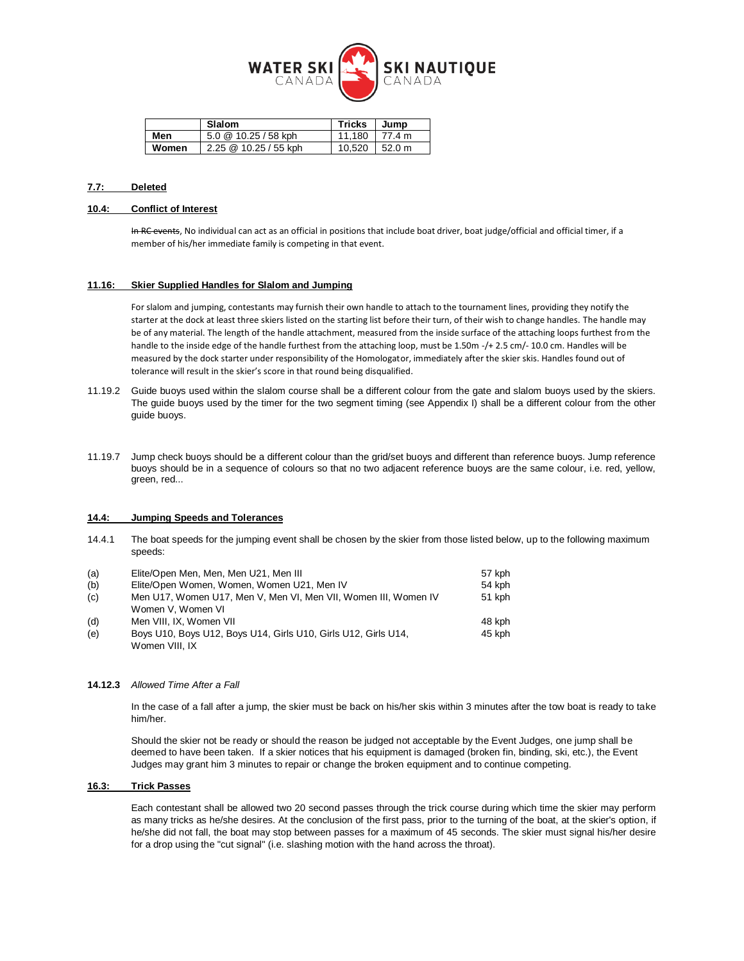

|       | Slalom                | <b>Tricks</b> | Jump   |
|-------|-----------------------|---------------|--------|
| Men   | 5.0 @ 10.25 / 58 kph  | 11.180        | 77.4 m |
| Women | 2.25 @ 10.25 / 55 kph | 10.520        | 52.0 m |

# **7.7: Deleted**

#### **10.4: Conflict of Interest**

In RC events, No individual can act as an official in positions that include boat driver, boat judge/official and official timer, if a member of his/her immediate family is competing in that event.

#### **11.16: Skier Supplied Handles for Slalom and Jumping**

For slalom and jumping, contestants may furnish their own handle to attach to the tournament lines, providing they notify the starter at the dock at least three skiers listed on the starting list before their turn, of their wish to change handles. The handle may be of any material. The length of the handle attachment, measured from the inside surface of the attaching loops furthest from the handle to the inside edge of the handle furthest from the attaching loop, must be 1.50m -/+ 2.5 cm/- 10.0 cm. Handles will be measured by the dock starter under responsibility of the Homologator, immediately after the skier skis. Handles found out of tolerance will result in the skier's score in that round being disqualified.

- 11.19.2 Guide buoys used within the slalom course shall be a different colour from the gate and slalom buoys used by the skiers. The guide buoys used by the timer for the two segment timing (see Appendix I) shall be a different colour from the other guide buoys.
- 11.19.7 Jump check buoys should be a different colour than the grid/set buoys and different than reference buoys. Jump reference buoys should be in a sequence of colours so that no two adjacent reference buoys are the same colour, i.e. red, yellow, green, red...

#### **14.4: Jumping Speeds and Tolerances**

14.4.1 The boat speeds for the jumping event shall be chosen by the skier from those listed below, up to the following maximum speeds:

| (a) | Elite/Open Men, Men, Men U21, Men III                           | 57 kph |
|-----|-----------------------------------------------------------------|--------|
| (b) | Elite/Open Women, Women, Women U21, Men IV                      | 54 kph |
| (c) | Men U17, Women U17, Men V, Men VI, Men VII, Women III, Women IV | 51 kph |
|     | Women V. Women VI                                               |        |
| (d) | Men VIII. IX. Women VII                                         | 48 kph |
| (e) | Boys U10, Boys U12, Boys U14, Girls U10, Girls U12, Girls U14,  | 45 kph |
|     | Women VIII, IX                                                  |        |

#### **14.12.3** *Allowed Time After a Fall*

In the case of a fall after a jump, the skier must be back on his/her skis within 3 minutes after the tow boat is ready to take him/her.

Should the skier not be ready or should the reason be judged not acceptable by the Event Judges, one jump shall be deemed to have been taken. If a skier notices that his equipment is damaged (broken fin, binding, ski, etc.), the Event Judges may grant him 3 minutes to repair or change the broken equipment and to continue competing.

# **16.3: Trick Passes**

Each contestant shall be allowed two 20 second passes through the trick course during which time the skier may perform as many tricks as he/she desires. At the conclusion of the first pass, prior to the turning of the boat, at the skier's option, if he/she did not fall, the boat may stop between passes for a maximum of 45 seconds. The skier must signal his/her desire for a drop using the "cut signal" (i.e. slashing motion with the hand across the throat).